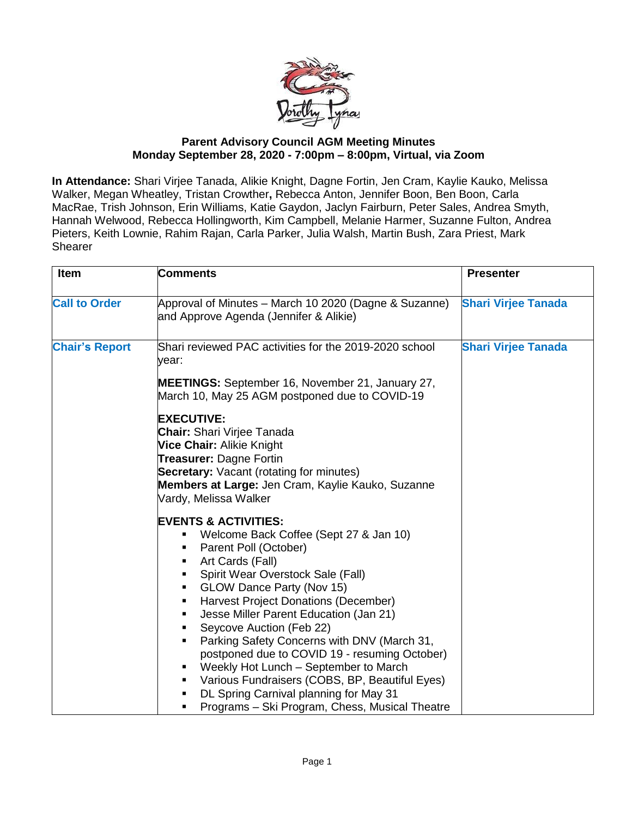

## **Parent Advisory Council AGM Meeting Minutes Monday September 28, 2020 - 7:00pm – 8:00pm, Virtual, via Zoom**

**In Attendance:** Shari Virjee Tanada, Alikie Knight, Dagne Fortin, Jen Cram, Kaylie Kauko, Melissa Walker, Megan Wheatley, Tristan Crowther**,** Rebecca Anton, Jennifer Boon, Ben Boon, Carla MacRae, Trish Johnson, Erin Williams, Katie Gaydon, Jaclyn Fairburn, Peter Sales, Andrea Smyth, Hannah Welwood, Rebecca Hollingworth, Kim Campbell, Melanie Harmer, Suzanne Fulton, Andrea Pieters, Keith Lownie, Rahim Rajan, Carla Parker, Julia Walsh, Martin Bush, Zara Priest, Mark **Shearer** 

| Item                  | <b>Comments</b>                                                                                                                                                                                                                                                                                                                                                                                                                                                                                                                                                                                                                          | <b>Presenter</b>           |
|-----------------------|------------------------------------------------------------------------------------------------------------------------------------------------------------------------------------------------------------------------------------------------------------------------------------------------------------------------------------------------------------------------------------------------------------------------------------------------------------------------------------------------------------------------------------------------------------------------------------------------------------------------------------------|----------------------------|
| <b>Call to Order</b>  | Approval of Minutes – March 10 2020 (Dagne & Suzanne)<br>and Approve Agenda (Jennifer & Alikie)                                                                                                                                                                                                                                                                                                                                                                                                                                                                                                                                          | <b>Shari Virjee Tanada</b> |
| <b>Chair's Report</b> | Shari reviewed PAC activities for the 2019-2020 school<br>year:<br><b>MEETINGS:</b> September 16, November 21, January 27,                                                                                                                                                                                                                                                                                                                                                                                                                                                                                                               | <b>Shari Virjee Tanada</b> |
|                       | March 10, May 25 AGM postponed due to COVID-19<br><b>EXECUTIVE:</b><br><b>Chair:</b> Shari Virjee Tanada<br>Vice Chair: Alikie Knight<br>Treasurer: Dagne Fortin<br><b>Secretary:</b> Vacant (rotating for minutes)<br>Members at Large: Jen Cram, Kaylie Kauko, Suzanne<br>Vardy, Melissa Walker                                                                                                                                                                                                                                                                                                                                        |                            |
|                       | <b>EVENTS &amp; ACTIVITIES:</b><br>Welcome Back Coffee (Sept 27 & Jan 10)<br>Parent Poll (October)<br>Art Cards (Fall)<br>٠<br>Spirit Wear Overstock Sale (Fall)<br>GLOW Dance Party (Nov 15)<br>٠<br>Harvest Project Donations (December)<br>$\blacksquare$<br>Jesse Miller Parent Education (Jan 21)<br>٠<br>Seycove Auction (Feb 22)<br>٠<br>Parking Safety Concerns with DNV (March 31,<br>٠<br>postponed due to COVID 19 - resuming October)<br>Weekly Hot Lunch - September to March<br>Various Fundraisers (COBS, BP, Beautiful Eyes)<br>DL Spring Carnival planning for May 31<br>Programs - Ski Program, Chess, Musical Theatre |                            |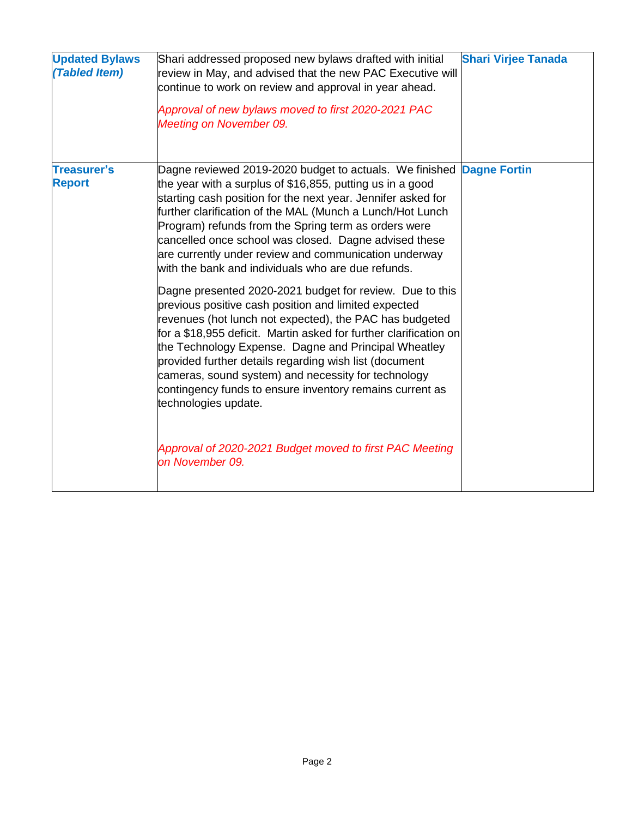| <b>Updated Bylaws</b><br>(Tabled Item) | Shari addressed proposed new bylaws drafted with initial<br>review in May, and advised that the new PAC Executive will<br>continue to work on review and approval in year ahead.<br>Approval of new bylaws moved to first 2020-2021 PAC<br>Meeting on November 09.                                                                                                                                                                                                                                                                                                                                                                                                                                                                                                                                                                                                                                                                                                                                                                                                               | <b>Shari Virjee Tanada</b> |
|----------------------------------------|----------------------------------------------------------------------------------------------------------------------------------------------------------------------------------------------------------------------------------------------------------------------------------------------------------------------------------------------------------------------------------------------------------------------------------------------------------------------------------------------------------------------------------------------------------------------------------------------------------------------------------------------------------------------------------------------------------------------------------------------------------------------------------------------------------------------------------------------------------------------------------------------------------------------------------------------------------------------------------------------------------------------------------------------------------------------------------|----------------------------|
| <b>Treasurer's</b><br><b>Report</b>    | Dagne reviewed 2019-2020 budget to actuals. We finished<br>the year with a surplus of \$16,855, putting us in a good<br>starting cash position for the next year. Jennifer asked for<br>further clarification of the MAL (Munch a Lunch/Hot Lunch<br>Program) refunds from the Spring term as orders were<br>cancelled once school was closed. Dagne advised these<br>are currently under review and communication underway<br>with the bank and individuals who are due refunds.<br>Dagne presented 2020-2021 budget for review. Due to this<br>previous positive cash position and limited expected<br>revenues (hot lunch not expected), the PAC has budgeted<br>for a \$18,955 deficit. Martin asked for further clarification on<br>the Technology Expense. Dagne and Principal Wheatley<br>provided further details regarding wish list (document<br>cameras, sound system) and necessity for technology<br>contingency funds to ensure inventory remains current as<br>technologies update.<br>Approval of 2020-2021 Budget moved to first PAC Meeting<br>on November 09. | <b>Dagne Fortin</b>        |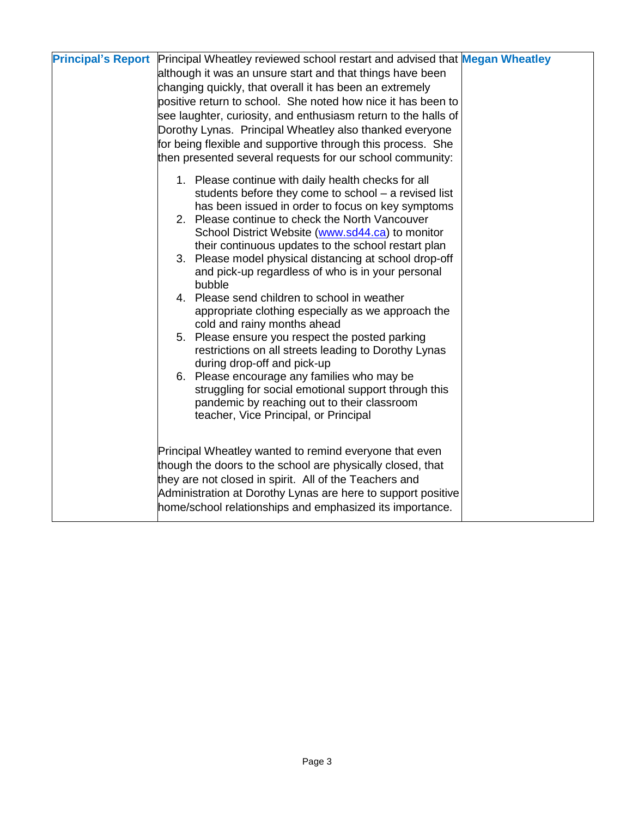| <b>Principal's Report</b> Principal Wheatley reviewed school restart and advised that Megan Wheatley<br>although it was an unsure start and that things have been<br>changing quickly, that overall it has been an extremely<br>positive return to school. She noted how nice it has been to<br>see laughter, curiosity, and enthusiasm return to the halls of<br>Dorothy Lynas. Principal Wheatley also thanked everyone<br>for being flexible and supportive through this process. She<br>then presented several requests for our school community: |
|-------------------------------------------------------------------------------------------------------------------------------------------------------------------------------------------------------------------------------------------------------------------------------------------------------------------------------------------------------------------------------------------------------------------------------------------------------------------------------------------------------------------------------------------------------|
| 1. Please continue with daily health checks for all<br>students before they come to school - a revised list<br>has been issued in order to focus on key symptoms<br>2. Please continue to check the North Vancouver<br>School District Website (www.sd44.ca) to monitor                                                                                                                                                                                                                                                                               |
| their continuous updates to the school restart plan<br>3. Please model physical distancing at school drop-off<br>and pick-up regardless of who is in your personal<br>bubble<br>4. Please send children to school in weather                                                                                                                                                                                                                                                                                                                          |
| appropriate clothing especially as we approach the<br>cold and rainy months ahead<br>5. Please ensure you respect the posted parking<br>restrictions on all streets leading to Dorothy Lynas<br>during drop-off and pick-up<br>6. Please encourage any families who may be                                                                                                                                                                                                                                                                            |
| struggling for social emotional support through this<br>pandemic by reaching out to their classroom<br>teacher, Vice Principal, or Principal                                                                                                                                                                                                                                                                                                                                                                                                          |
| Principal Wheatley wanted to remind everyone that even<br>though the doors to the school are physically closed, that<br>they are not closed in spirit. All of the Teachers and<br>Administration at Dorothy Lynas are here to support positive<br>home/school relationships and emphasized its importance.                                                                                                                                                                                                                                            |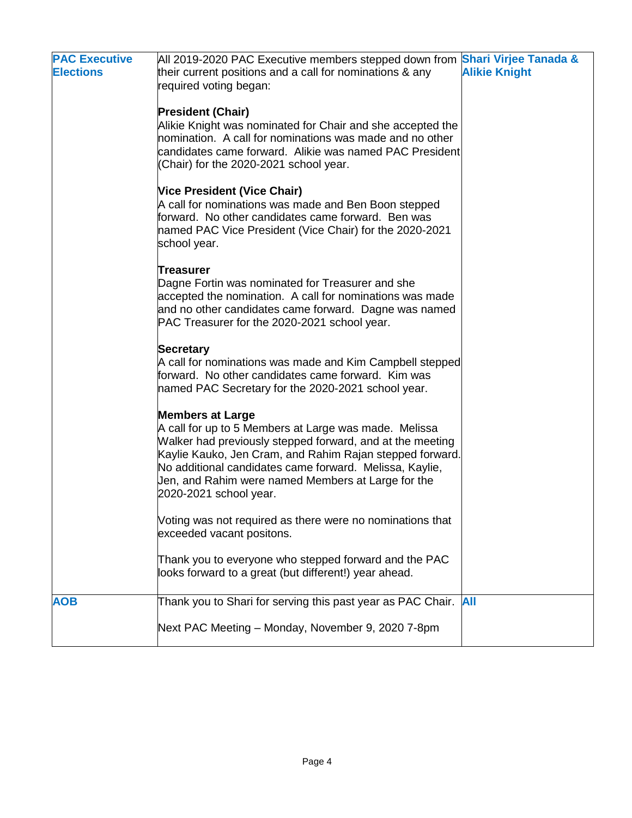| <b>PAC Executive</b><br><b>Elections</b> | All 2019-2020 PAC Executive members stepped down from <b>Shari Virjee Tanada &amp;</b><br>their current positions and a call for nominations & any<br>required voting began:                                                                                                                                                                         | <b>Alikie Knight</b> |
|------------------------------------------|------------------------------------------------------------------------------------------------------------------------------------------------------------------------------------------------------------------------------------------------------------------------------------------------------------------------------------------------------|----------------------|
|                                          | <b>President (Chair)</b><br>Alikie Knight was nominated for Chair and she accepted the<br>nomination. A call for nominations was made and no other<br>candidates came forward. Alikie was named PAC President<br>(Chair) for the 2020-2021 school year.                                                                                              |                      |
|                                          | Vice President (Vice Chair)<br>A call for nominations was made and Ben Boon stepped<br>forward. No other candidates came forward. Ben was<br>named PAC Vice President (Vice Chair) for the 2020-2021<br>school year.                                                                                                                                 |                      |
|                                          | <b>Treasurer</b><br>Dagne Fortin was nominated for Treasurer and she<br>accepted the nomination. A call for nominations was made<br>and no other candidates came forward. Dagne was named<br>PAC Treasurer for the 2020-2021 school year.                                                                                                            |                      |
|                                          | <b>Secretary</b><br>A call for nominations was made and Kim Campbell stepped<br>forward. No other candidates came forward. Kim was<br>named PAC Secretary for the 2020-2021 school year.                                                                                                                                                             |                      |
|                                          | <b>Members at Large</b><br>A call for up to 5 Members at Large was made. Melissa<br>Walker had previously stepped forward, and at the meeting<br>Kaylie Kauko, Jen Cram, and Rahim Rajan stepped forward.<br>No additional candidates came forward. Melissa, Kaylie,<br>Jen, and Rahim were named Members at Large for the<br>2020-2021 school year. |                      |
|                                          | Voting was not required as there were no nominations that<br>exceeded vacant positons.                                                                                                                                                                                                                                                               |                      |
|                                          | Thank you to everyone who stepped forward and the PAC<br>looks forward to a great (but different!) year ahead.                                                                                                                                                                                                                                       |                      |
| <b>AOB</b>                               | Thank you to Shari for serving this past year as PAC Chair. All<br>Next PAC Meeting - Monday, November 9, 2020 7-8pm                                                                                                                                                                                                                                 |                      |